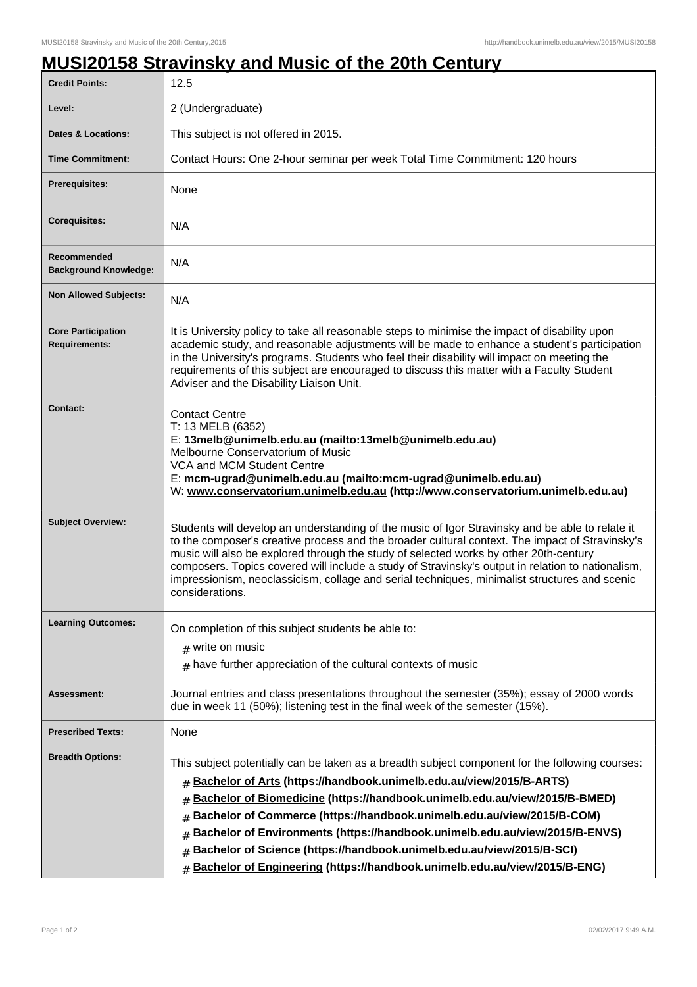## **MUSI20158 Stravinsky and Music of the 20th Century**

| <b>Credit Points:</b>                             | 12.5                                                                                                                                                                                                                                                                                                                                                                                                                                                                                                                                                                                         |
|---------------------------------------------------|----------------------------------------------------------------------------------------------------------------------------------------------------------------------------------------------------------------------------------------------------------------------------------------------------------------------------------------------------------------------------------------------------------------------------------------------------------------------------------------------------------------------------------------------------------------------------------------------|
| Level:                                            | 2 (Undergraduate)                                                                                                                                                                                                                                                                                                                                                                                                                                                                                                                                                                            |
| <b>Dates &amp; Locations:</b>                     | This subject is not offered in 2015.                                                                                                                                                                                                                                                                                                                                                                                                                                                                                                                                                         |
| <b>Time Commitment:</b>                           | Contact Hours: One 2-hour seminar per week Total Time Commitment: 120 hours                                                                                                                                                                                                                                                                                                                                                                                                                                                                                                                  |
| Prerequisites:                                    | None                                                                                                                                                                                                                                                                                                                                                                                                                                                                                                                                                                                         |
| <b>Corequisites:</b>                              | N/A                                                                                                                                                                                                                                                                                                                                                                                                                                                                                                                                                                                          |
| Recommended<br><b>Background Knowledge:</b>       | N/A                                                                                                                                                                                                                                                                                                                                                                                                                                                                                                                                                                                          |
| <b>Non Allowed Subjects:</b>                      | N/A                                                                                                                                                                                                                                                                                                                                                                                                                                                                                                                                                                                          |
| <b>Core Participation</b><br><b>Requirements:</b> | It is University policy to take all reasonable steps to minimise the impact of disability upon<br>academic study, and reasonable adjustments will be made to enhance a student's participation<br>in the University's programs. Students who feel their disability will impact on meeting the<br>requirements of this subject are encouraged to discuss this matter with a Faculty Student<br>Adviser and the Disability Liaison Unit.                                                                                                                                                       |
| <b>Contact:</b>                                   | <b>Contact Centre</b><br>T: 13 MELB (6352)<br>E: 13melb@unimelb.edu.au (mailto:13melb@unimelb.edu.au)<br>Melbourne Conservatorium of Music<br>VCA and MCM Student Centre<br>E: mcm-ugrad@unimelb.edu.au (mailto:mcm-ugrad@unimelb.edu.au)<br>W: www.conservatorium.unimelb.edu.au (http://www.conservatorium.unimelb.edu.au)                                                                                                                                                                                                                                                                 |
| <b>Subject Overview:</b>                          | Students will develop an understanding of the music of Igor Stravinsky and be able to relate it<br>to the composer's creative process and the broader cultural context. The impact of Stravinsky's<br>music will also be explored through the study of selected works by other 20th-century<br>composers. Topics covered will include a study of Stravinsky's output in relation to nationalism,<br>impressionism, neoclassicism, collage and serial techniques, minimalist structures and scenic<br>considerations.                                                                         |
| <b>Learning Outcomes:</b>                         | On completion of this subject students be able to:<br>$#$ write on music<br>$#$ have further appreciation of the cultural contexts of music                                                                                                                                                                                                                                                                                                                                                                                                                                                  |
| Assessment:                                       | Journal entries and class presentations throughout the semester (35%); essay of 2000 words<br>due in week 11 (50%); listening test in the final week of the semester (15%).                                                                                                                                                                                                                                                                                                                                                                                                                  |
| <b>Prescribed Texts:</b>                          | None                                                                                                                                                                                                                                                                                                                                                                                                                                                                                                                                                                                         |
| <b>Breadth Options:</b>                           | This subject potentially can be taken as a breadth subject component for the following courses:<br>Bachelor of Arts (https://handbook.unimelb.edu.au/view/2015/B-ARTS)<br>#<br>Bachelor of Biomedicine (https://handbook.unimelb.edu.au/view/2015/B-BMED)<br>#<br>Bachelor of Commerce (https://handbook.unimelb.edu.au/view/2015/B-COM)<br>Bachelor of Environments (https://handbook.unimelb.edu.au/view/2015/B-ENVS)<br>#<br>Bachelor of Science (https://handbook.unimelb.edu.au/view/2015/B-SCI)<br>#<br>Bachelor of Engineering (https://handbook.unimelb.edu.au/view/2015/B-ENG)<br># |